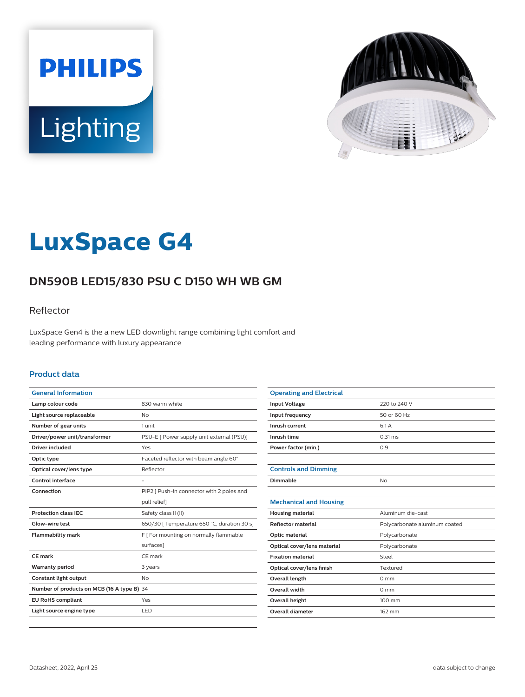



# **LuxSpace G4**

# **DN590B LED15/830 PSU C D150 WH WB GM**

### Reflector

LuxSpace Gen4 is the a new LED downlight range combining light comfort and leading performance with luxury appearance

#### **Product data**

| <b>General Information</b>                 |                                             |
|--------------------------------------------|---------------------------------------------|
| Lamp colour code                           | 830 warm white                              |
| Light source replaceable                   | Nο                                          |
| Number of gear units                       | 1 unit                                      |
| Driver/power unit/transformer              | PSU-E [ Power supply unit external (PSU)]   |
| <b>Driver included</b>                     | Yes                                         |
| Optic type                                 | Faceted reflector with beam angle 60°       |
| Optical cover/lens type                    | Reflector                                   |
| Control interface                          | ٠                                           |
| Connection                                 | PIP2   Push-in connector with 2 poles and   |
|                                            | pull relief]                                |
| <b>Protection class IEC</b>                | Safety class II (II)                        |
| Glow-wire test                             | 650/30   Temperature 650 °C, duration 30 s] |
| <b>Flammability mark</b>                   | F   For mounting on normally flammable      |
|                                            | surfaces]                                   |
| CF mark                                    | CF mark                                     |
| <b>Warranty period</b>                     | 3 years                                     |
| Constant light output                      | No                                          |
| Number of products on MCB (16 A type B) 34 |                                             |
| <b>EU RoHS compliant</b>                   | Yes                                         |
| Light source engine type                   | LED.                                        |
|                                            |                                             |

| <b>Operating and Electrical</b> |                               |
|---------------------------------|-------------------------------|
| <b>Input Voltage</b>            | 220 to 240 V                  |
| Input frequency                 | 50 or 60 Hz                   |
| Inrush current                  | 6.1 A                         |
| Inrush time                     | $0.31$ ms                     |
| Power factor (min.)             | 0.9                           |
|                                 |                               |
| <b>Controls and Dimming</b>     |                               |
| Dimmable                        | <b>No</b>                     |
|                                 |                               |
| <b>Mechanical and Housing</b>   |                               |
| <b>Housing material</b>         | Aluminum die-cast             |
| <b>Reflector material</b>       | Polycarbonate aluminum coated |
| Optic material                  | Polycarbonate                 |
| Optical cover/lens material     | Polycarbonate                 |
| <b>Fixation material</b>        | Steel                         |
| Optical cover/lens finish       | Textured                      |
| Overall length                  | $0 \text{ mm}$                |
| Overall width                   | $0 \text{ mm}$                |
| Overall height                  | 100 mm                        |
| <b>Overall diameter</b>         | 162 mm                        |
|                                 |                               |